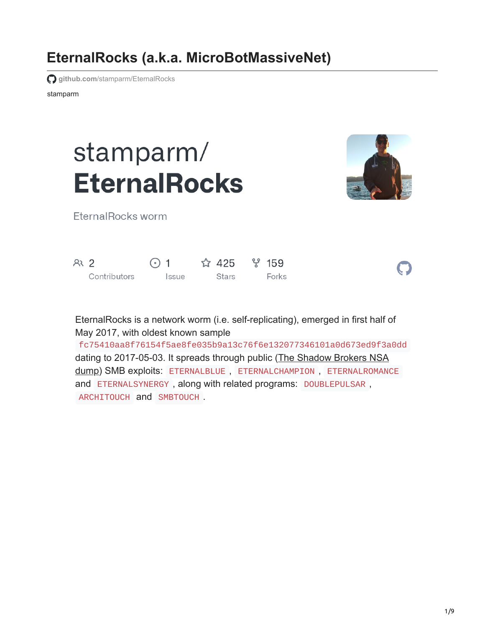# **EternalRocks (a.k.a. MicroBotMassiveNet)**

**github.com[/stamparm/EternalRocks](https://github.com/stamparm/EternalRocks)** 

stamparm

# stamparm/ **EternalRocks**



 $\bigcap$ 

EternalRocks worm

| R <sub>2</sub> |              | $\odot$ 1    | $\hat{Q}$ 425 $\hat{Y}$ 159 |       |
|----------------|--------------|--------------|-----------------------------|-------|
|                | Contributors | <i>Issue</i> | Stars                       | Forks |

EternalRocks is a network worm (i.e. self-replicating), emerged in first half of May 2017, with oldest known sample

fc75410aa8f76154f5ae8fe035b9a13c76f6e132077346101a0d673ed9f3a0dd [dating to 2017-05-03. It spreads through public \(The Shadow Brokers NSA](https://steemit.com/shadowbrokers/@theshadowbrokers/lost-in-translation) dump) SMB exploits: ETERNALBLUE , ETERNALCHAMPION , ETERNALROMANCE and ETERNALSYNERGY , along with related programs: DOUBLEPULSAR , ARCHITOUCH and SMBTOUCH .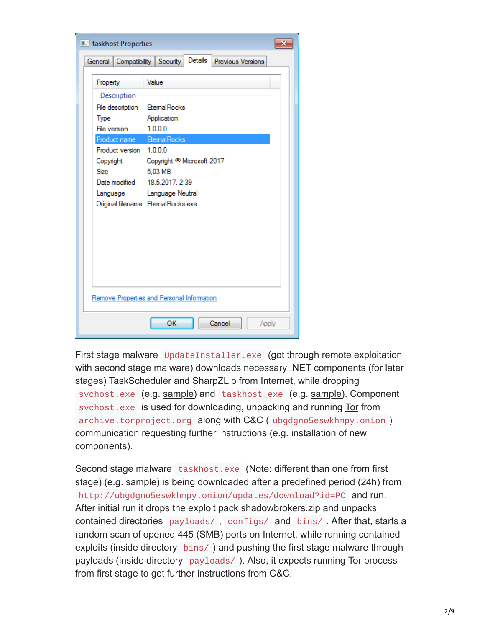| <b>L'</b> taskhost Properties                                                                                                 |                                                                                                                                                                                                                            |  |  |  |  |  |  |  |
|-------------------------------------------------------------------------------------------------------------------------------|----------------------------------------------------------------------------------------------------------------------------------------------------------------------------------------------------------------------------|--|--|--|--|--|--|--|
| Details<br>Compatibility Security<br>Previous Versions<br>General I                                                           |                                                                                                                                                                                                                            |  |  |  |  |  |  |  |
| Property                                                                                                                      | Value                                                                                                                                                                                                                      |  |  |  |  |  |  |  |
| Description<br><b>Type</b><br>File version<br>Product name<br>Product version 1.0.0.0<br>Copyright<br><b>Size</b><br>Language | File description EtemalRocks<br>Application<br>1.0.0.0<br><b>EtemalRocks</b><br>Copyright <sup>®</sup> Microsoft 2017<br>5.03 MB<br>Date modified 18.5.2017, 2:39<br>Language Neutral<br>Original filename EtemalRocks.exe |  |  |  |  |  |  |  |
| Remove Properties and Personal Information                                                                                    |                                                                                                                                                                                                                            |  |  |  |  |  |  |  |
| OK<br>Cancel<br>Apply                                                                                                         |                                                                                                                                                                                                                            |  |  |  |  |  |  |  |

First stage malware UpdateInstaller.exe (got through remote exploitation with second stage malware) downloads necessary .NET components (for later stages) [TaskScheduler](http://api.nuget.org/packages/taskscheduler.2.5.23.nupkg) and [SharpZLib](http://api.nuget.org/packages/sharpziplib.0.86.0.nupkg) from Internet, while dropping svchost.exe (e.g. [sample](https://raw.githubusercontent.com/stamparm/EternalRocks/master/samples/aedd0c47daa35f291e670e3feadaed11d9b8fe12c05982f16c909a57bf39ca35)) and taskhost.exe (e.g. sample). Component svchost.exe is used for downloading, unpacking and running [Tor](https://archive.torproject.org/tor-package-archive/torbrowser/4.0.1/tor-win32-tor-0.2.5.10.zip) from archive.torproject.org along with C&C ( ubgdgno5eswkhmpy.onion ) communication requesting further instructions (e.g. installation of new components).

Second stage malware taskhost.exe (Note: different than one from first stage) (e.g. [sample\)](https://raw.githubusercontent.com/stamparm/EternalRocks/master/samples/cf8533849ee5e82023ad7adbdbd6543cb6db596c53048b1a0c00b3643a72db30) is being downloaded after a predefined period (24h) from http://ubgdgno5eswkhmpy.onion/updates/download?id=PC and run. After initial run it drops the exploit pack [shadowbrokers.zip](https://raw.githubusercontent.com/stamparm/EternalRocks/master/samples/70ec0e2b6f9ff88b54618a5f7fbd55b383cf62f8e7c3795c25e2f613bfddf45d) and unpacks contained directories payloads/ , configs/ and bins/ . After that, starts a random scan of opened 445 (SMB) ports on Internet, while running contained exploits (inside directory bins/ ) and pushing the first stage malware through payloads (inside directory payloads/ ). Also, it expects running Tor process from first stage to get further instructions from C&C.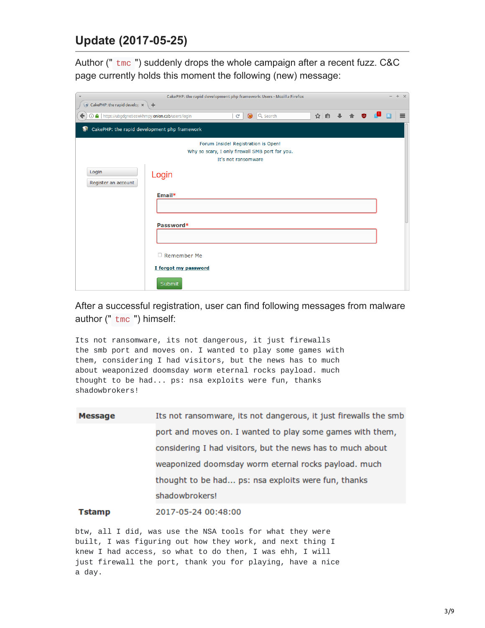# **Update (2017-05-25)**

Author (" tmc ") suddenly drops the whole campaign after a recent fuzz. C&C page currently holds this moment the following (new) message:

| CakePHP: the rapid development php framework: Users - Mozilla Firefox<br>$\overline{\mathbf{v}}$                               |                                     |  |  |  |  |  |  |  |  |  |
|--------------------------------------------------------------------------------------------------------------------------------|-------------------------------------|--|--|--|--|--|--|--|--|--|
| CakePHP: the rapid develop *                                                                                                   | $+$                                 |  |  |  |  |  |  |  |  |  |
| ☆ 自 ↓<br>① △   https://ubgdgno5eswkhmpy.onion.cab/users/login<br>$\circledast$<br>Q Search<br>$\equiv$<br>$\epsilon$<br>←<br>Ф |                                     |  |  |  |  |  |  |  |  |  |
| CakePHP: the rapid development php framework<br>€                                                                              |                                     |  |  |  |  |  |  |  |  |  |
|                                                                                                                                | Forum Inside! Registration is Open! |  |  |  |  |  |  |  |  |  |
| Why so scary, I only firewall SMB port for you.                                                                                |                                     |  |  |  |  |  |  |  |  |  |
| It's not ransomware                                                                                                            |                                     |  |  |  |  |  |  |  |  |  |
| Login<br>Register an account                                                                                                   | Login                               |  |  |  |  |  |  |  |  |  |
|                                                                                                                                | Email*                              |  |  |  |  |  |  |  |  |  |
|                                                                                                                                |                                     |  |  |  |  |  |  |  |  |  |
|                                                                                                                                |                                     |  |  |  |  |  |  |  |  |  |
|                                                                                                                                | Password*                           |  |  |  |  |  |  |  |  |  |
|                                                                                                                                |                                     |  |  |  |  |  |  |  |  |  |
|                                                                                                                                |                                     |  |  |  |  |  |  |  |  |  |
|                                                                                                                                |                                     |  |  |  |  |  |  |  |  |  |
|                                                                                                                                | $\Box$ Remember Me                  |  |  |  |  |  |  |  |  |  |
| I forgot my password                                                                                                           |                                     |  |  |  |  |  |  |  |  |  |
|                                                                                                                                |                                     |  |  |  |  |  |  |  |  |  |
|                                                                                                                                | Submit                              |  |  |  |  |  |  |  |  |  |

After a successful registration, user can find following messages from malware author (" tmc ") himself:

Its not ransomware, its not dangerous, it just firewalls the smb port and moves on. I wanted to play some games with them, considering I had visitors, but the news has to much about weaponized doomsday worm eternal rocks payload. much thought to be had... ps: nsa exploits were fun, thanks shadowbrokers!

| <b>Message</b> | Its not ransomware, its not dangerous, it just firewalls the smb |  |  |  |  |  |  |  |
|----------------|------------------------------------------------------------------|--|--|--|--|--|--|--|
|                | port and moves on. I wanted to play some games with them,        |  |  |  |  |  |  |  |
|                | considering I had visitors, but the news has to much about       |  |  |  |  |  |  |  |
|                | weaponized doomsday worm eternal rocks payload. much             |  |  |  |  |  |  |  |
|                | thought to be had ps: nsa exploits were fun, thanks              |  |  |  |  |  |  |  |
|                | shadowbrokers!                                                   |  |  |  |  |  |  |  |
|                |                                                                  |  |  |  |  |  |  |  |

**Tstamp** 2017-05-24 00:48:00

btw, all I did, was use the NSA tools for what they were built, I was figuring out how they work, and next thing I knew I had access, so what to do then, I was ehh, I will just firewall the port, thank you for playing, have a nice a day.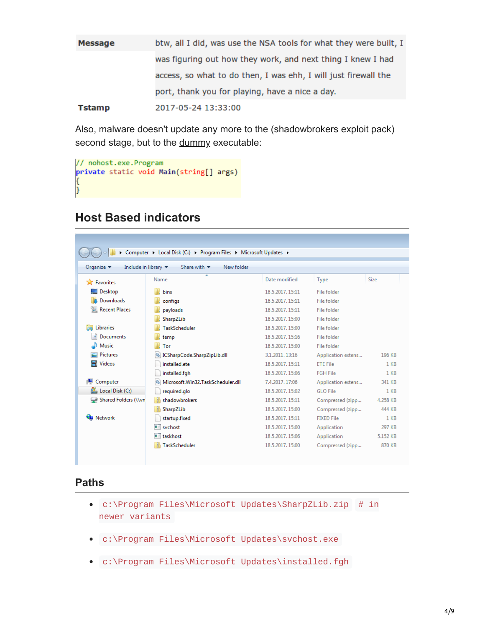| Message       | btw, all I did, was use the NSA tools for what they were built, I |
|---------------|-------------------------------------------------------------------|
|               | was figuring out how they work, and next thing I knew I had       |
|               | access, so what to do then, I was ehh, I will just firewall the   |
|               | port, thank you for playing, have a nice a day.                   |
| <b>Tstamp</b> | 2017-05-24 13:33:00                                               |

Also, malware doesn't update any more to the (shadowbrokers exploit pack) second stage, but to the [dummy](https://raw.githubusercontent.com/stamparm/EternalRocks/master/samples/48b1024f599c3184a49c0d66c5600385265b9868d0936134185326e2db0ab441) executable:

```
// nohost.exe.Program<br>private static void Main(string[] args)
ſ
B.
```
# **Host Based indicators**

| > Computer > Local Disk (C:) > Program Files > Microsoft Updates >                                                        |                                                |                 |                    |                 |  |  |  |  |  |
|---------------------------------------------------------------------------------------------------------------------------|------------------------------------------------|-----------------|--------------------|-----------------|--|--|--|--|--|
| Include in library $\blacktriangledown$<br>Share with $\blacktriangledown$<br>New folder<br>Organize $\blacktriangledown$ |                                                |                 |                    |                 |  |  |  |  |  |
| <b>X</b> Favorites                                                                                                        | ≖<br>Name                                      | Date modified   | Type               | Size            |  |  |  |  |  |
| Desktop                                                                                                                   | bins                                           | 18.5.2017.15:11 | File folder        |                 |  |  |  |  |  |
| Downloads                                                                                                                 | configs                                        | 18.5.2017.15:11 | File folder        |                 |  |  |  |  |  |
| <b>Recent Places</b>                                                                                                      | payloads                                       | 18.5.2017.15:11 | File folder        |                 |  |  |  |  |  |
|                                                                                                                           | SharpZLib                                      | 18.5.2017.15:00 | File folder        |                 |  |  |  |  |  |
| Libraries<br>∍                                                                                                            | TaskScheduler                                  | 18.5.2017.15:00 | File folder        |                 |  |  |  |  |  |
| E<br><b>Documents</b>                                                                                                     | temp                                           | 18.5.2017.15:16 | File folder        |                 |  |  |  |  |  |
| al <sup>1</sup> Music                                                                                                     | Tor                                            | 18.5.2017.15:00 | File folder        |                 |  |  |  |  |  |
| Pictures                                                                                                                  | <b>&amp; ICSharpCode.SharpZipLib.dll</b>       | 3.1.2011.13:16  | Application extens | 196 KB          |  |  |  |  |  |
| <b>Nideos</b>                                                                                                             | installed.ete                                  | 18.5.2017.15:11 | <b>ETE File</b>    | 1 <sub>KB</sub> |  |  |  |  |  |
|                                                                                                                           | installed.fgh                                  | 18.5.2017.15:06 | <b>FGH File</b>    | $1$ KB          |  |  |  |  |  |
| i <sup>1</sup> Computer                                                                                                   | Microsoft.Win32.TaskScheduler.dll<br>$\otimes$ | 7.4.2017.17:06  | Application extens | 341 KB          |  |  |  |  |  |
| Local Disk (C:)                                                                                                           | required.glo                                   | 18.5.2017.15:02 | GLO File           | $1$ KB          |  |  |  |  |  |
| Shared Folders (\\vn                                                                                                      | shadowbrokers                                  | 18.5.2017.15:11 | Compressed (zipp   | 4.258 KB        |  |  |  |  |  |
|                                                                                                                           | SharpZLib                                      | 18.5.2017.15:00 | Compressed (zipp   | 444 KB          |  |  |  |  |  |
| <b>Network</b>                                                                                                            | startup.fixed                                  | 18.5.2017.15:11 | <b>FIXED File</b>  | $1$ KB          |  |  |  |  |  |
|                                                                                                                           | $\blacksquare$ sychost                         | 18.5.2017.15:00 | Application        | 297 KB          |  |  |  |  |  |
|                                                                                                                           | all taskhost                                   | 18.5.2017.15:06 | Application        | 5.152 KB        |  |  |  |  |  |
|                                                                                                                           | <b>TaskScheduler</b>                           | 18.5.2017.15:00 | Compressed (zipp   | 870 KB          |  |  |  |  |  |
|                                                                                                                           |                                                |                 |                    |                 |  |  |  |  |  |

#### **Paths**

- c:\Program Files\Microsoft Updates\SharpZLib.zip # in newer variants
- c:\Program Files\Microsoft Updates\svchost.exe
- c:\Program Files\Microsoft Updates\installed.fgh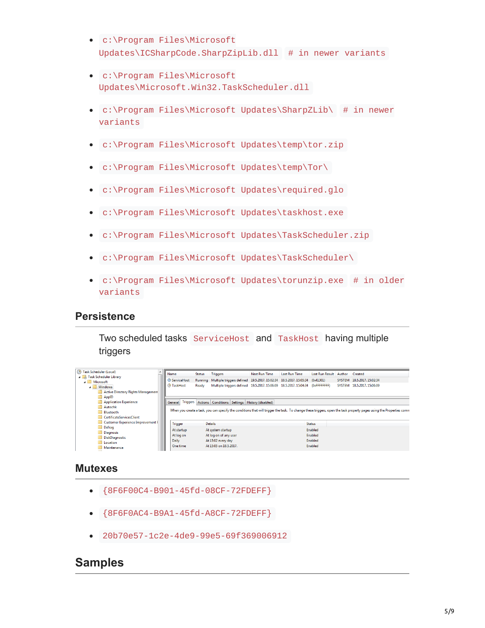- c:\Program Files\Microsoft Updates\ICSharpCode.SharpZipLib.dll # in newer variants
- c:\Program Files\Microsoft Updates\Microsoft.Win32.TaskScheduler.dll
- c:\Program Files\Microsoft Updates\SharpZLib\ # in newer variants
- c:\Program Files\Microsoft Updates\temp\tor.zip
- c:\Program Files\Microsoft Updates\temp\Tor\
- c:\Program Files\Microsoft Updates\required.glo
- c:\Program Files\Microsoft Updates\taskhost.exe
- c:\Program Files\Microsoft Updates\TaskScheduler.zip
- c:\Program Files\Microsoft Updates\TaskScheduler\
- c:\Program Files\Microsoft Updates\torunzip.exe # in older variants

#### **Persistence**

Two scheduled tasks ServiceHost and TaskHost having multiple triggers

| (4) Task Scheduler (Local)         |  | Name                                                                                                                                                                |  | <b>Status</b> | <b>Triggers</b>        |  | <b>Next Run Time</b>                                                         | <b>Last Run Time</b> | <b>Last Run Result</b> | Author | Created                   |
|------------------------------------|--|---------------------------------------------------------------------------------------------------------------------------------------------------------------------|--|---------------|------------------------|--|------------------------------------------------------------------------------|----------------------|------------------------|--------|---------------------------|
| <b>4</b> Task Scheduler Library    |  |                                                                                                                                                                     |  |               |                        |  |                                                                              |                      |                        |        |                           |
| A Microsoft                        |  | <b>B</b> ServiceHost                                                                                                                                                |  | Running       |                        |  | Multiple triggers defined 19.5.2017. 15:02:34 18.5.2017. 15:05:34            |                      | (0x41301)              |        | SYSTEM 18.5.2017.15:02:34 |
| ہ ہ<br>Windows                     |  | <b>B</b> TaskHost                                                                                                                                                   |  | Ready         |                        |  | Multiple triggers defined 19.5.2017.15:06:09 18.5.2017.15:04:34 (0xFFFFFFFF) |                      |                        |        | SYSTEM 18.5.2017.15:06:09 |
| Active Directory Rights Management |  |                                                                                                                                                                     |  |               |                        |  |                                                                              |                      |                        |        |                           |
| AppID                              |  |                                                                                                                                                                     |  |               |                        |  |                                                                              |                      |                        |        |                           |
| Application Experience             |  |                                                                                                                                                                     |  |               |                        |  | General Triggers Actions Conditions Settings History (disabled)              |                      |                        |        |                           |
| Autochk                            |  |                                                                                                                                                                     |  |               |                        |  |                                                                              |                      |                        |        |                           |
| <b>Bluetooth</b>                   |  | When you create a task, you can specify the conditions that will trigger the task. To change these triggers, open the task property pages using the Properties comn |  |               |                        |  |                                                                              |                      |                        |        |                           |
| CertificateServicesClient          |  |                                                                                                                                                                     |  |               |                        |  |                                                                              |                      |                        |        |                           |
| Customer Experience Improvement F  |  | <b>Trigger</b>                                                                                                                                                      |  |               | <b>Details</b>         |  |                                                                              |                      | <b>Status</b>          |        |                           |
| Defrag                             |  |                                                                                                                                                                     |  |               |                        |  |                                                                              |                      | Enabled                |        |                           |
| <b>Diagnosis</b>                   |  | At startup                                                                                                                                                          |  |               | At system startup      |  |                                                                              |                      |                        |        |                           |
| DiskDiagnostic                     |  | At log on                                                                                                                                                           |  |               | At log on of any user  |  |                                                                              |                      | Enabled                |        |                           |
| Location                           |  | <b>Daily</b>                                                                                                                                                        |  |               | At 15:02 every day     |  |                                                                              |                      | Enabled                |        |                           |
| Maintenance                        |  | One time                                                                                                                                                            |  |               | At 15:05 on 18.5.2017. |  |                                                                              |                      | Enabled                |        |                           |
|                                    |  |                                                                                                                                                                     |  |               |                        |  |                                                                              |                      |                        |        |                           |

### **Mutexes**

- {8F6F00C4-B901-45fd-08CF-72FDEFF}
- {8F6F0AC4-B9A1-45fd-A8CF-72FDEFF}
- 20b70e57-1c2e-4de9-99e5-69f369006912

## **Samples**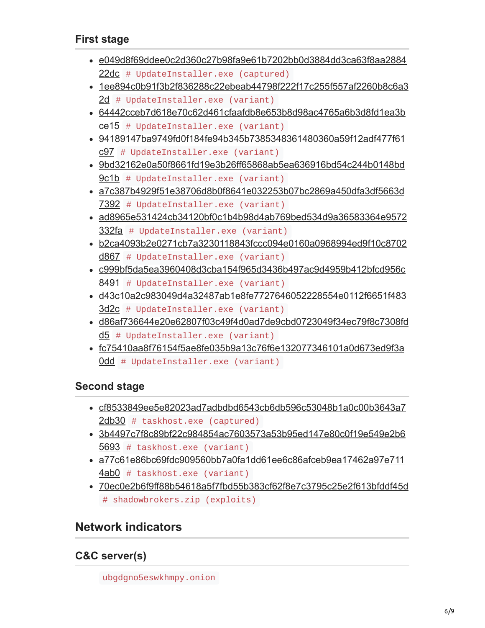# **First stage**

- [e049d8f69ddee0c2d360c27b98fa9e61b7202bb0d3884dd3ca63f8aa2884](https://raw.githubusercontent.com/stamparm/EternalRocks/master/samples/e049d8f69ddee0c2d360c27b98fa9e61b7202bb0d3884dd3ca63f8aa288422dc) 22dc # UpdateInstaller.exe (captured)
- [1ee894c0b91f3b2f836288c22ebeab44798f222f17c255f557af2260b8c6a3](https://raw.githubusercontent.com/stamparm/EternalRocks/master/samples/1ee894c0b91f3b2f836288c22ebeab44798f222f17c255f557af2260b8c6a32d) 2d # UpdateInstaller.exe (variant)
- [64442cceb7d618e70c62d461cfaafdb8e653b8d98ac4765a6b3d8fd1ea3b](https://raw.githubusercontent.com/stamparm/EternalRocks/master/samples/64442cceb7d618e70c62d461cfaafdb8e653b8d98ac4765a6b3d8fd1ea3bce15) ce15 # UpdateInstaller.exe (variant)
- [94189147ba9749fd0f184fe94b345b7385348361480360a59f12adf477f61](https://raw.githubusercontent.com/stamparm/EternalRocks/master/samples/94189147ba9749fd0f184fe94b345b7385348361480360a59f12adf477f61c97) c97 # UpdateInstaller.exe (variant)
- [9bd32162e0a50f8661fd19e3b26ff65868ab5ea636916bd54c244b0148bd](https://raw.githubusercontent.com/stamparm/EternalRocks/master/samples/9bd32162e0a50f8661fd19e3b26ff65868ab5ea636916bd54c244b0148bd9c1b) 9c1b # UpdateInstaller.exe (variant)
- [a7c387b4929f51e38706d8b0f8641e032253b07bc2869a450dfa3df5663d](https://raw.githubusercontent.com/stamparm/EternalRocks/master/samples/a7c387b4929f51e38706d8b0f8641e032253b07bc2869a450dfa3df5663d7392) 7392 # UpdateInstaller.exe (variant)
- [ad8965e531424cb34120bf0c1b4b98d4ab769bed534d9a36583364e9572](https://raw.githubusercontent.com/stamparm/EternalRocks/master/samples/ad8965e531424cb34120bf0c1b4b98d4ab769bed534d9a36583364e9572332fa) 332fa # UpdateInstaller.exe (variant)
- [b2ca4093b2e0271cb7a3230118843fccc094e0160a0968994ed9f10c8702](https://raw.githubusercontent.com/stamparm/EternalRocks/master/samples/b2ca4093b2e0271cb7a3230118843fccc094e0160a0968994ed9f10c8702d867) d867 # UpdateInstaller.exe (variant)
- [c999bf5da5ea3960408d3cba154f965d3436b497ac9d4959b412bfcd956c](https://raw.githubusercontent.com/stamparm/EternalRocks/master/samples/c999bf5da5ea3960408d3cba154f965d3436b497ac9d4959b412bfcd956c8491) 8491 # UpdateInstaller.exe (variant)
- [d43c10a2c983049d4a32487ab1e8fe7727646052228554e0112f6651f483](https://raw.githubusercontent.com/stamparm/EternalRocks/master/samples/d43c10a2c983049d4a32487ab1e8fe7727646052228554e0112f6651f4833d2c) 3d2c # UpdateInstaller.exe (variant)
- [d86af736644e20e62807f03c49f4d0ad7de9cbd0723049f34ec79f8c7308fd](https://raw.githubusercontent.com/stamparm/EternalRocks/master/samples/d86af736644e20e62807f03c49f4d0ad7de9cbd0723049f34ec79f8c7308fdd5) d5 # UpdateInstaller.exe (variant)
- [fc75410aa8f76154f5ae8fe035b9a13c76f6e132077346101a0d673ed9f3a](https://raw.githubusercontent.com/stamparm/EternalRocks/master/samples/fc75410aa8f76154f5ae8fe035b9a13c76f6e132077346101a0d673ed9f3a0dd) 0dd # UpdateInstaller.exe (variant)

# **Second stage**

- [cf8533849ee5e82023ad7adbdbd6543cb6db596c53048b1a0c00b3643a7](https://raw.githubusercontent.com/stamparm/EternalRocks/master/samples/cf8533849ee5e82023ad7adbdbd6543cb6db596c53048b1a0c00b3643a72db30) 2db30 # taskhost.exe (captured)
- [3b4497c7f8c89bf22c984854ac7603573a53b95ed147e80c0f19e549e2b6](https://raw.githubusercontent.com/stamparm/EternalRocks/master/samples/3b4497c7f8c89bf22c984854ac7603573a53b95ed147e80c0f19e549e2b65693) 5693 # taskhost.exe (variant)
- [a77c61e86bc69fdc909560bb7a0fa1dd61ee6c86afceb9ea17462a97e711](https://raw.githubusercontent.com/stamparm/EternalRocks/master/samples/a77c61e86bc69fdc909560bb7a0fa1dd61ee6c86afceb9ea17462a97e7114ab0) 4ab0 # taskhost.exe (variant)
- [70ec0e2b6f9ff88b54618a5f7fbd55b383cf62f8e7c3795c25e2f613bfddf45d](https://raw.githubusercontent.com/stamparm/EternalRocks/master/samples/70ec0e2b6f9ff88b54618a5f7fbd55b383cf62f8e7c3795c25e2f613bfddf45d) # shadowbrokers.zip (exploits)

# **Network indicators**

# **C&C server(s)**

ubgdgno5eswkhmpy.onion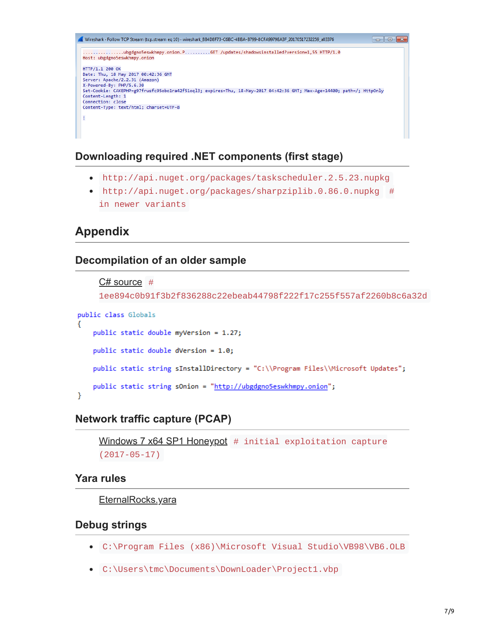..........ubgdgno5eswkhmpy.onion.P..........GET /updates/shadowsinstalled?version=1,55 HTTP/1.0 Host: ubgdgno5eswkhmpy.onion HTTP/1.1 200 OK niir/1.1 200 OK<br>Date: Thu, 18 May 2017 00:42:36 GMT<br>Server: Apache/2.2.31 (Amazon) X-Powered-By: PHP/5.6.30<br>Set-Cookie: CAKEPHP=g97frusfc95obo1ra42f51oql3; expires=Thu, 18-May-2017 04:42:36 GMT; Max-Age=14400; path=/; HttpOnly Content-Length: 1 Connection: close Content-Type: text/html; charset=UTF-8

### **Downloading required .NET components (first stage)**

- http://api.nuget.org/packages/taskscheduler.2.5.23.nupkg
- http://api.nuget.org/packages/sharpziplib.0.86.0.nupkg # in newer variants

# **Appendix**

#### **Decompilation of an older sample**

```
C# source #
```
1ee894c0b91f3b2f836288c22ebeab44798f222f17c255f557af2260b8c6a32d

```
public class Globals
₹
    public static double myVersion = 1.27;
    public static double dVersion = 1.0;
    public static string sInstallDirectory = "C:\\Program Files\\Microsoft Updates";
    public static string sOnion = "http://ubgdgno5eswkhmpy.onion";
Y
```
#### **Network traffic capture (PCAP)**

```
Windows 7 x64 SP1 Honeypot # initial exploitation capture
(2017-05-17)
```
#### **Yara rules**

[EternalRocks.yara](https://raw.githubusercontent.com/stamparm/EternalRocks/master/EternalRocks.yara)

#### **Debug strings**

- C:\Program Files (x86)\Microsoft Visual Studio\VB98\VB6.OLB
- C:\Users\tmc\Documents\DownLoader\Project1.vbp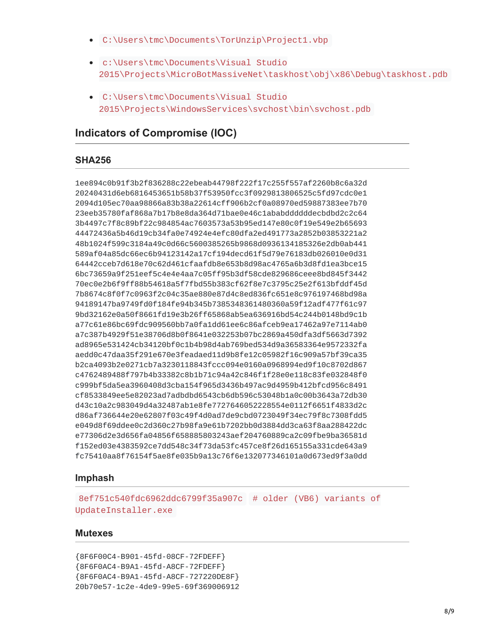- C:\Users\tmc\Documents\TorUnzip\Project1.vbp
- c:\Users\tmc\Documents\Visual Studio 2015\Projects\MicroBotMassiveNet\taskhost\obj\x86\Debug\taskhost.pdb
- C:\Users\tmc\Documents\Visual Studio 2015\Projects\WindowsServices\svchost\bin\svchost.pdb

# **Indicators of Compromise (IOC)**

#### **SHA256**

1ee894c0b91f3b2f836288c22ebeab44798f222f17c255f557af2260b8c6a32d 20240431d6eb6816453651b58b37f53950fcc3f0929813806525c5fd97cdc0e1 2094d105ec70aa98866a83b38a22614cff906b2cf0a08970ed59887383ee7b70 23eeb35780faf868a7b17b8e8da364d71bae0e46c1ababddddddecbdbd2c2c64 3b4497c7f8c89bf22c984854ac7603573a53b95ed147e80c0f19e549e2b65693 44472436a5b46d19cb34fa0e74924e4efc80dfa2ed491773a2852b03853221a2 48b1024f599c3184a49c0d66c5600385265b9868d0936134185326e2db0ab441 589af04a85dc66ec6b94123142a17cf194decd61f5d79e76183db026010e0d31 64442cceb7d618e70c62d461cfaafdb8e653b8d98ac4765a6b3d8fd1ea3bce15 6bc73659a9f251eef5c4e4e4aa7c05ff95b3df58cde829686ceee8bd845f3442 70ec0e2b6f9ff88b54618a5f7fbd55b383cf62f8e7c3795c25e2f613bfddf45d 7b8674c8f0f7c0963f2c04c35ae880e87d4c8ed836fc651e8c976197468bd98a 94189147ba9749fd0f184fe94b345b7385348361480360a59f12adf477f61c97 9bd32162e0a50f8661fd19e3b26ff65868ab5ea636916bd54c244b0148bd9c1b a77c61e86bc69fdc909560bb7a0fa1dd61ee6c86afceb9ea17462a97e7114ab0 a7c387b4929f51e38706d8b0f8641e032253b07bc2869a450dfa3df5663d7392 ad8965e531424cb34120bf0c1b4b98d4ab769bed534d9a36583364e9572332fa aedd0c47daa35f291e670e3feadaed11d9b8fe12c05982f16c909a57bf39ca35 b2ca4093b2e0271cb7a3230118843fccc094e0160a0968994ed9f10c8702d867 c4762489488f797b4b33382c8b1b71c94a42c846f1f28e0e118c83fe032848f0 c999bf5da5ea3960408d3cba154f965d3436b497ac9d4959b412bfcd956c8491 cf8533849ee5e82023ad7adbdbd6543cb6db596c53048b1a0c00b3643a72db30 d43c10a2c983049d4a32487ab1e8fe7727646052228554e0112f6651f4833d2c d86af736644e20e62807f03c49f4d0ad7de9cbd0723049f34ec79f8c7308fdd5 e049d8f69ddee0c2d360c27b98fa9e61b7202bb0d3884dd3ca63f8aa288422dc e77306d2e3d656fa04856f658885803243aef204760889ca2c09fbe9ba36581d f152ed03e4383592ce7dd548c34f73da53fc457ce8f26d165155a331cde643a9 fc75410aa8f76154f5ae8fe035b9a13c76f6e132077346101a0d673ed9f3a0dd

#### **Imphash**

8ef751c540fdc6962ddc6799f35a907c # older (VB6) variants of UpdateInstaller.exe

#### **Mutexes**

{8F6F00C4-B901-45fd-08CF-72FDEFF} {8F6F0AC4-B9A1-45fd-A8CF-72FDEFF} {8F6F0AC4-B9A1-45fd-A8CF-727220DE8F} 20b70e57-1c2e-4de9-99e5-69f369006912